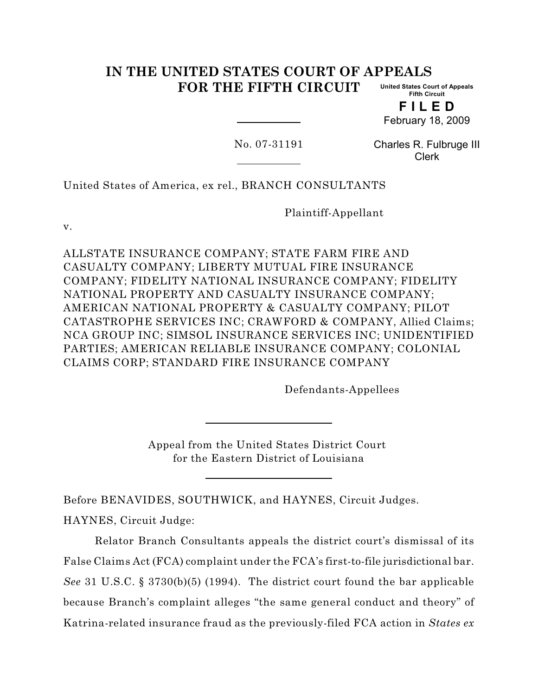#### **IN THE UNITED STATES COURT OF APPEALS FOR THE FIFTH CIRCUIT United States Court of Appeals Fifth Circuit**

**F I L E D** February 18, 2009

No. 07-31191

Charles R. Fulbruge III Clerk

United States of America, ex rel., BRANCH CONSULTANTS

Plaintiff-Appellant

v.

ALLSTATE INSURANCE COMPANY; STATE FARM FIRE AND CASUALTY COMPANY; LIBERTY MUTUAL FIRE INSURANCE COMPANY; FIDELITY NATIONAL INSURANCE COMPANY; FIDELITY NATIONAL PROPERTY AND CASUALTY INSURANCE COMPANY; AMERICAN NATIONAL PROPERTY & CASUALTY COMPANY; PILOT CATASTROPHE SERVICES INC; CRAWFORD & COMPANY, Allied Claims; NCA GROUP INC; SIMSOL INSURANCE SERVICES INC; UNIDENTIFIED PARTIES; AMERICAN RELIABLE INSURANCE COMPANY; COLONIAL CLAIMS CORP; STANDARD FIRE INSURANCE COMPANY

Defendants-Appellees

Appeal from the United States District Court for the Eastern District of Louisiana

Before BENAVIDES, SOUTHWICK, and HAYNES, Circuit Judges. HAYNES, Circuit Judge:

Relator Branch Consultants appeals the district court's dismissal of its False Claims Act (FCA) complaint under the FCA's first-to-file jurisdictional bar. *See* 31 U.S.C. § 3730(b)(5) (1994). The district court found the bar applicable because Branch's complaint alleges "the same general conduct and theory" of Katrina-related insurance fraud as the previously-filed FCA action in *States ex*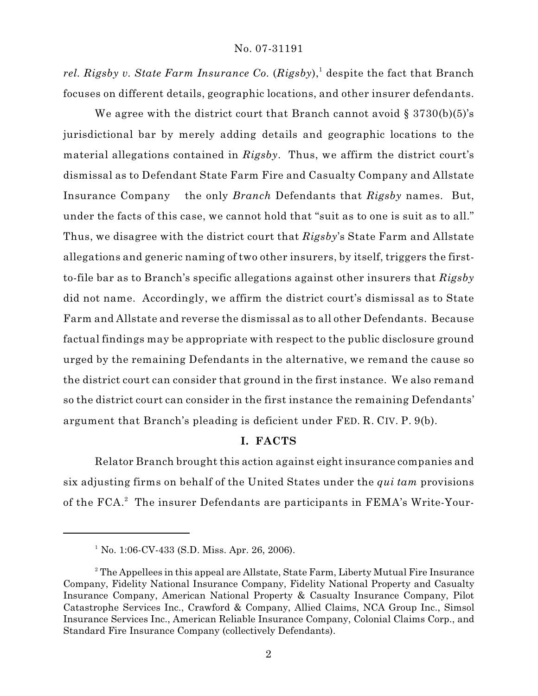*rel. Rigsby v. State Farm Insurance Co.*  $(Rigsby)$ , despite the fact that Branch focuses on different details, geographic locations, and other insurer defendants.

We agree with the district court that Branch cannot avoid  $\S 3730(b)(5)'s$ jurisdictional bar by merely adding details and geographic locations to the material allegations contained in *Rigsby*. Thus, we affirm the district court's dismissal as to Defendant State Farm Fire and Casualty Company and Allstate Insurance Company the only *Branch* Defendants that *Rigsby* names. But, under the facts of this case, we cannot hold that "suit as to one is suit as to all." Thus, we disagree with the district court that *Rigsby*'s State Farm and Allstate allegations and generic naming of two other insurers, by itself, triggers the firstto-file bar as to Branch's specific allegations against other insurers that *Rigsby* did not name. Accordingly, we affirm the district court's dismissal as to State Farm and Allstate and reverse the dismissal as to all other Defendants. Because factual findings may be appropriate with respect to the public disclosure ground urged by the remaining Defendants in the alternative, we remand the cause so the district court can consider that ground in the first instance. We also remand so the district court can consider in the first instance the remaining Defendants' argument that Branch's pleading is deficient under FED. R. CIV. P. 9(b).

# **I. FACTS**

Relator Branch brought this action against eight insurance companies and six adjusting firms on behalf of the United States under the *qui tam* provisions of the FCA.<sup>2</sup> The insurer Defendants are participants in FEMA's Write-Your-

<sup>&</sup>lt;sup>1</sup> No. 1:06-CV-433 (S.D. Miss. Apr. 26, 2006).

<sup>&</sup>lt;sup>2</sup> The Appellees in this appeal are Allstate, State Farm, Liberty Mutual Fire Insurance Company, Fidelity National Insurance Company, Fidelity National Property and Casualty Insurance Company, American National Property & Casualty Insurance Company, Pilot Catastrophe Services Inc., Crawford & Company, Allied Claims, NCA Group Inc., Simsol Insurance Services Inc., American Reliable Insurance Company, Colonial Claims Corp., and Standard Fire Insurance Company (collectively Defendants).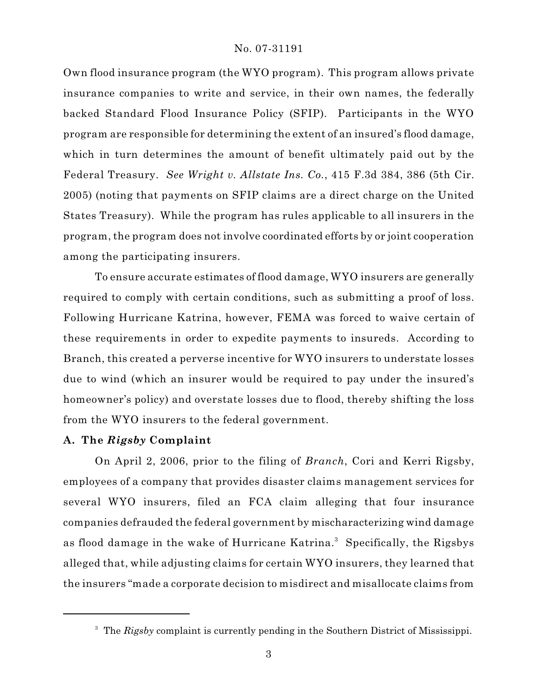Own flood insurance program (the WYO program). This program allows private insurance companies to write and service, in their own names, the federally backed Standard Flood Insurance Policy (SFIP). Participants in the WYO program are responsible for determining the extent of an insured's flood damage, which in turn determines the amount of benefit ultimately paid out by the Federal Treasury. *See Wright v. Allstate Ins. Co.*, 415 F.3d 384, 386 (5th Cir. 2005) (noting that payments on SFIP claims are a direct charge on the United States Treasury). While the program has rules applicable to all insurers in the program, the program does not involve coordinated efforts by or joint cooperation among the participating insurers.

To ensure accurate estimates of flood damage, WYO insurers are generally required to comply with certain conditions, such as submitting a proof of loss. Following Hurricane Katrina, however, FEMA was forced to waive certain of these requirements in order to expedite payments to insureds. According to Branch, this created a perverse incentive for WYO insurers to understate losses due to wind (which an insurer would be required to pay under the insured's homeowner's policy) and overstate losses due to flood, thereby shifting the loss from the WYO insurers to the federal government.

#### **A. The** *Rigsby* **Complaint**

On April 2, 2006, prior to the filing of *Branch*, Cori and Kerri Rigsby, employees of a company that provides disaster claims management services for several WYO insurers, filed an FCA claim alleging that four insurance companies defrauded the federal government by mischaracterizing wind damage as flood damage in the wake of Hurricane Katrina.<sup>3</sup> Specifically, the Rigsbys alleged that, while adjusting claims for certain WYO insurers, they learned that the insurers "made a corporate decision to misdirect and misallocate claims from

<sup>&</sup>lt;sup>3</sup> The *Rigsby* complaint is currently pending in the Southern District of Mississippi.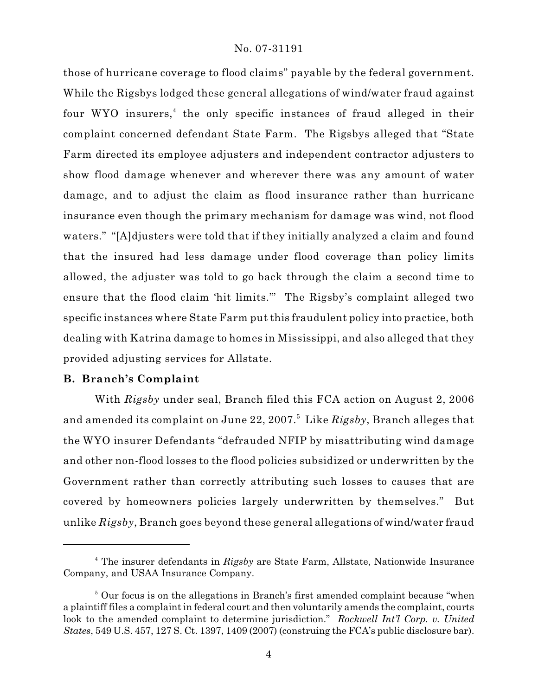those of hurricane coverage to flood claims" payable by the federal government. While the Rigsbys lodged these general allegations of wind/water fraud against four WYO insurers,<sup> $4$ </sup> the only specific instances of fraud alleged in their complaint concerned defendant State Farm. The Rigsbys alleged that "State Farm directed its employee adjusters and independent contractor adjusters to show flood damage whenever and wherever there was any amount of water damage, and to adjust the claim as flood insurance rather than hurricane insurance even though the primary mechanism for damage was wind, not flood waters." "[A]djusters were told that if they initially analyzed a claim and found that the insured had less damage under flood coverage than policy limits allowed, the adjuster was told to go back through the claim a second time to ensure that the flood claim 'hit limits.'" The Rigsby's complaint alleged two specific instances where State Farm put this fraudulent policy into practice, both dealing with Katrina damage to homes in Mississippi, and also alleged that they provided adjusting services for Allstate.

## **B. Branch's Complaint**

With *Rigsby* under seal, Branch filed this FCA action on August 2, 2006 and amended its complaint on June 22, 2007.<sup>5</sup> Like *Rigsby*, Branch alleges that the WYO insurer Defendants "defrauded NFIP by misattributing wind damage and other non-flood losses to the flood policies subsidized or underwritten by the Government rather than correctly attributing such losses to causes that are covered by homeowners policies largely underwritten by themselves." But unlike *Rigsby*, Branch goes beyond these general allegations of wind/water fraud

<sup>&</sup>lt;sup>4</sup> The insurer defendants in *Rigsby* are State Farm, Allstate, Nationwide Insurance Company, and USAA Insurance Company.

<sup>&</sup>lt;sup>5</sup> Our focus is on the allegations in Branch's first amended complaint because "when a plaintiff files a complaint in federal court and then voluntarily amends the complaint, courts look to the amended complaint to determine jurisdiction." *Rockwell Int'l Corp. v. United States*, 549 U.S. 457, 127 S. Ct. 1397, 1409 (2007) (construing the FCA's public disclosure bar).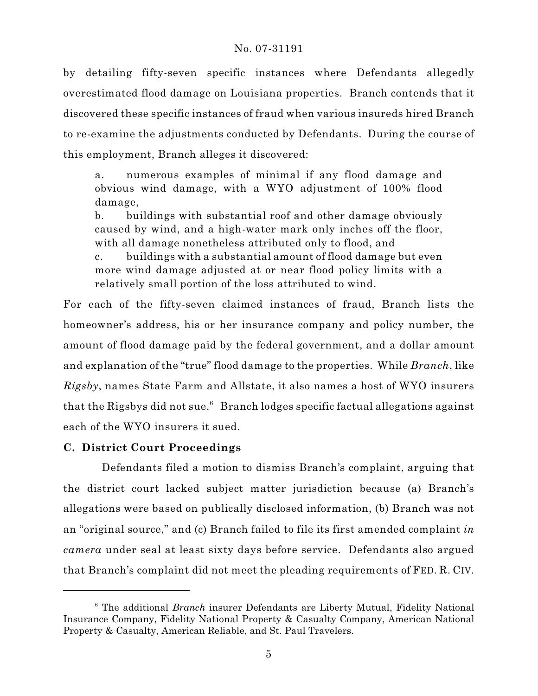by detailing fifty-seven specific instances where Defendants allegedly overestimated flood damage on Louisiana properties. Branch contends that it discovered these specific instances of fraud when various insureds hired Branch to re-examine the adjustments conducted by Defendants. During the course of this employment, Branch alleges it discovered:

a. numerous examples of minimal if any flood damage and obvious wind damage, with a WYO adjustment of 100% flood damage,

b. buildings with substantial roof and other damage obviously caused by wind, and a high-water mark only inches off the floor, with all damage nonetheless attributed only to flood, and

c. buildings with a substantial amount of flood damage but even more wind damage adjusted at or near flood policy limits with a relatively small portion of the loss attributed to wind.

For each of the fifty-seven claimed instances of fraud, Branch lists the homeowner's address, his or her insurance company and policy number, the amount of flood damage paid by the federal government, and a dollar amount and explanation of the "true" flood damage to the properties. While *Branch*, like *Rigsby*, names State Farm and Allstate, it also names a host of WYO insurers that the Rigsbys did not sue.<sup> $6$ </sup> Branch lodges specific factual allegations against each of the WYO insurers it sued.

# **C. District Court Proceedings**

 Defendants filed a motion to dismiss Branch's complaint, arguing that the district court lacked subject matter jurisdiction because (a) Branch's allegations were based on publically disclosed information, (b) Branch was not an "original source," and (c) Branch failed to file its first amended complaint *in camera* under seal at least sixty days before service. Defendants also argued that Branch's complaint did not meet the pleading requirements of FED. R. CIV.

<sup>&</sup>lt;sup>6</sup> The additional *Branch* insurer Defendants are Liberty Mutual, Fidelity National Insurance Company, Fidelity National Property & Casualty Company, American National Property & Casualty, American Reliable, and St. Paul Travelers.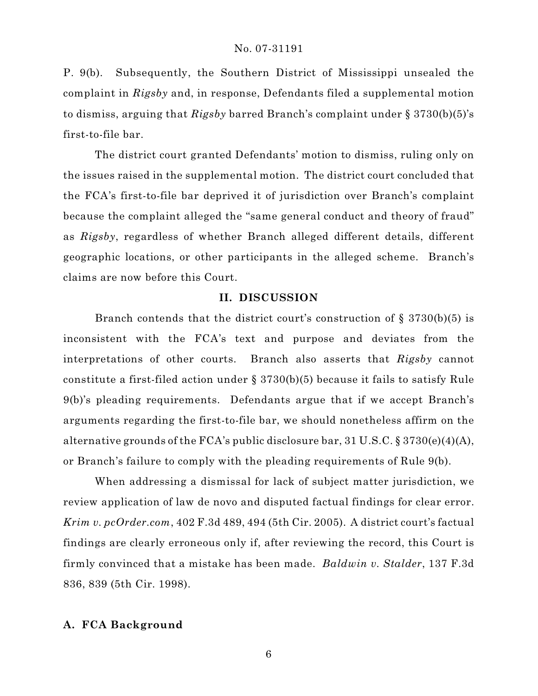P. 9(b). Subsequently, the Southern District of Mississippi unsealed the complaint in *Rigsby* and, in response, Defendants filed a supplemental motion to dismiss, arguing that *Rigsby* barred Branch's complaint under § 3730(b)(5)'s first-to-file bar.

The district court granted Defendants' motion to dismiss, ruling only on the issues raised in the supplemental motion. The district court concluded that the FCA's first-to-file bar deprived it of jurisdiction over Branch's complaint because the complaint alleged the "same general conduct and theory of fraud" as *Rigsby*, regardless of whether Branch alleged different details, different geographic locations, or other participants in the alleged scheme. Branch's claims are now before this Court.

## **II. DISCUSSION**

Branch contends that the district court's construction of  $\S 3730(b)(5)$  is inconsistent with the FCA's text and purpose and deviates from the interpretations of other courts. Branch also asserts that *Rigsby* cannot constitute a first-filed action under § 3730(b)(5) because it fails to satisfy Rule 9(b)'s pleading requirements. Defendants argue that if we accept Branch's arguments regarding the first-to-file bar, we should nonetheless affirm on the alternative grounds of the FCA's public disclosure bar, 31 U.S.C. § 3730(e)(4)(A), or Branch's failure to comply with the pleading requirements of Rule 9(b).

When addressing a dismissal for lack of subject matter jurisdiction, we review application of law de novo and disputed factual findings for clear error. *Krim v. pcOrder.com*, 402 F.3d 489, 494 (5th Cir. 2005). A district court's factual findings are clearly erroneous only if, after reviewing the record, this Court is firmly convinced that a mistake has been made. *Baldwin v. Stalder*, 137 F.3d 836, 839 (5th Cir. 1998).

## **A. FCA Background**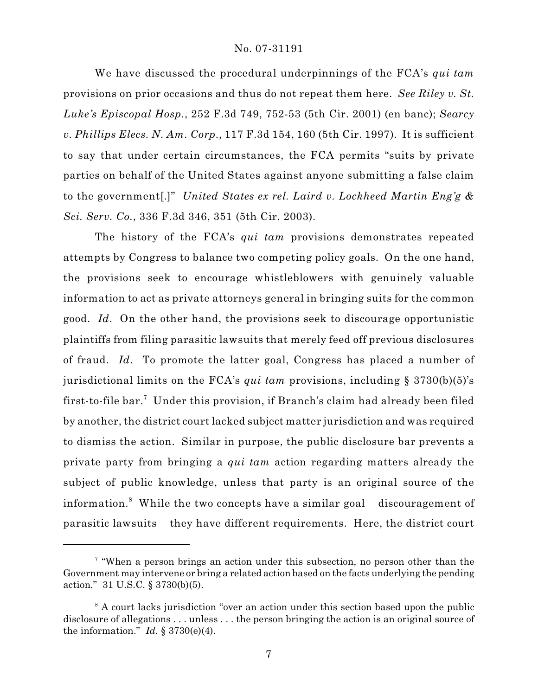We have discussed the procedural underpinnings of the FCA's *qui tam* provisions on prior occasions and thus do not repeat them here. *See Riley v. St. Luke's Episcopal Hosp.*, 252 F.3d 749, 752-53 (5th Cir. 2001) (en banc); *Searcy v. Phillips Elecs. N. Am. Corp.*, 117 F.3d 154, 160 (5th Cir. 1997). It is sufficient to say that under certain circumstances, the FCA permits "suits by private parties on behalf of the United States against anyone submitting a false claim to the government[.]" *United States ex rel. Laird v. Lockheed Martin Eng'g & Sci. Serv. Co.*, 336 F.3d 346, 351 (5th Cir. 2003).

The history of the FCA's *qui tam* provisions demonstrates repeated attempts by Congress to balance two competing policy goals. On the one hand, the provisions seek to encourage whistleblowers with genuinely valuable information to act as private attorneys general in bringing suits for the common good. *Id*. On the other hand, the provisions seek to discourage opportunistic plaintiffs from filing parasitic lawsuits that merely feed off previous disclosures of fraud. *Id*. To promote the latter goal, Congress has placed a number of jurisdictional limits on the FCA's *qui tam* provisions, including § 3730(b)(5)'s first-to-file bar.<sup>7</sup> Under this provision, if Branch's claim had already been filed by another, the district court lacked subject matter jurisdiction and was required to dismiss the action. Similar in purpose, the public disclosure bar prevents a private party from bringing a *qui tam* action regarding matters already the subject of public knowledge, unless that party is an original source of the information.<sup>8</sup> While the two concepts have a similar goal discouragement of parasitic lawsuits they have different requirements. Here, the district court

<sup>&</sup>lt;sup>7</sup> "When a person brings an action under this subsection, no person other than the Government may intervene or bring a related action based on the facts underlying the pending action." 31 U.S.C. § 3730(b)(5).

 $\delta$  A court lacks jurisdiction "over an action under this section based upon the public disclosure of allegations . . . unless . . . the person bringing the action is an original source of the information." *Id.*  $\S 3730(e)(4)$ .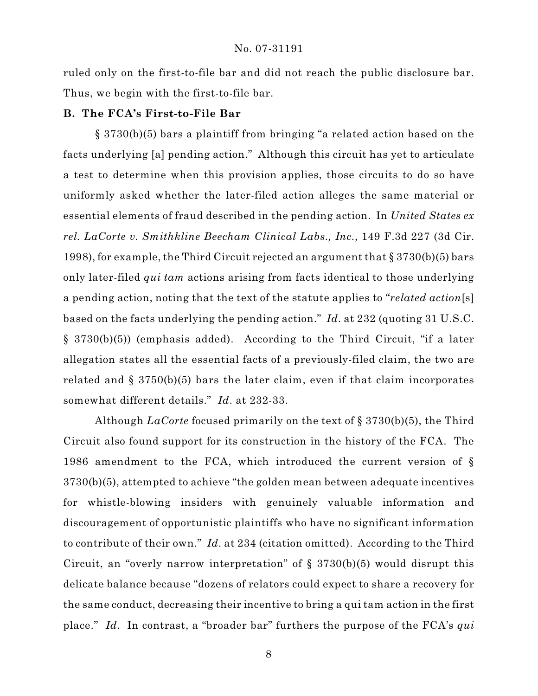ruled only on the first-to-file bar and did not reach the public disclosure bar. Thus, we begin with the first-to-file bar.

## **B. The FCA's First-to-File Bar**

§ 3730(b)(5) bars a plaintiff from bringing "a related action based on the facts underlying [a] pending action." Although this circuit has yet to articulate a test to determine when this provision applies, those circuits to do so have uniformly asked whether the later-filed action alleges the same material or essential elements of fraud described in the pending action. In *United States ex rel. LaCorte v. Smithkline Beecham Clinical Labs., Inc.*, 149 F.3d 227 (3d Cir. 1998), for example, the Third Circuit rejected an argument that § 3730(b)(5) bars only later-filed *qui tam* actions arising from facts identical to those underlying a pending action, noting that the text of the statute applies to "*related action*[s] based on the facts underlying the pending action." *Id*. at 232 (quoting 31 U.S.C. § 3730(b)(5)) (emphasis added). According to the Third Circuit, "if a later allegation states all the essential facts of a previously-filed claim, the two are related and § 3750(b)(5) bars the later claim, even if that claim incorporates somewhat different details." *Id*. at 232-33.

Although *LaCorte* focused primarily on the text of § 3730(b)(5), the Third Circuit also found support for its construction in the history of the FCA. The 1986 amendment to the FCA, which introduced the current version of § 3730(b)(5), attempted to achieve "the golden mean between adequate incentives for whistle-blowing insiders with genuinely valuable information and discouragement of opportunistic plaintiffs who have no significant information to contribute of their own." *Id*. at 234 (citation omitted). According to the Third Circuit, an "overly narrow interpretation" of  $\S$  3730(b)(5) would disrupt this delicate balance because "dozens of relators could expect to share a recovery for the same conduct, decreasing their incentive to bring a qui tam action in the first place." *Id*. In contrast, a "broader bar" furthers the purpose of the FCA's *qui*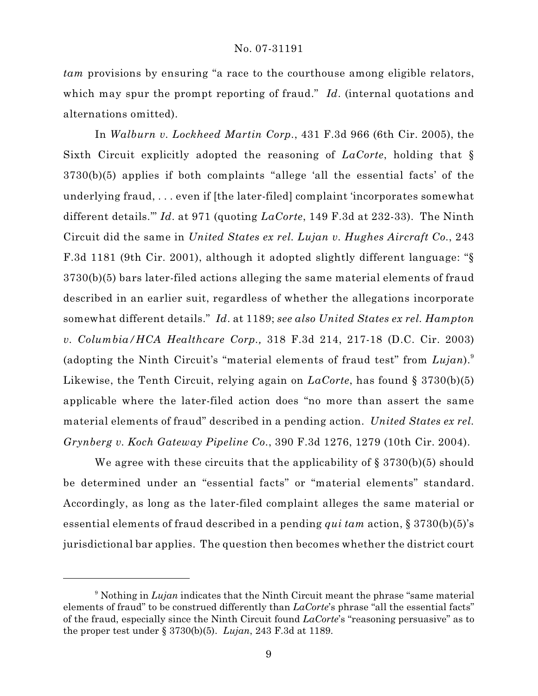*tam* provisions by ensuring "a race to the courthouse among eligible relators, which may spur the prompt reporting of fraud." *Id*. (internal quotations and alternations omitted).

In *Walburn v. Lockheed Martin Corp.*, 431 F.3d 966 (6th Cir. 2005), the Sixth Circuit explicitly adopted the reasoning of *LaCorte*, holding that § 3730(b)(5) applies if both complaints "allege 'all the essential facts' of the underlying fraud, . . . even if [the later-filed] complaint 'incorporates somewhat different details.'" *Id*. at 971 (quoting *LaCorte*, 149 F.3d at 232-33). The Ninth Circuit did the same in *United States ex rel. Lujan v. Hughes Aircraft Co.*, 243 F.3d 1181 (9th Cir. 2001), although it adopted slightly different language: "§ 3730(b)(5) bars later-filed actions alleging the same material elements of fraud described in an earlier suit, regardless of whether the allegations incorporate somewhat different details." *Id*. at 1189; *see also United States ex rel. Hampton v. Columbia/HCA Healthcare Corp.,* 318 F.3d 214, 217-18 (D.C. Cir. 2003) (adopting the Ninth Circuit's "material elements of fraud test" from *Lujan*).<sup>9</sup> Likewise, the Tenth Circuit, relying again on *LaCorte*, has found § 3730(b)(5) applicable where the later-filed action does "no more than assert the same material elements of fraud" described in a pending action. *United States ex rel. Grynberg v. Koch Gateway Pipeline Co.*, 390 F.3d 1276, 1279 (10th Cir. 2004).

We agree with these circuits that the applicability of  $\S 3730(b)(5)$  should be determined under an "essential facts" or "material elements" standard. Accordingly, as long as the later-filed complaint alleges the same material or essential elements of fraud described in a pending *qui tam* action, § 3730(b)(5)'s jurisdictional bar applies. The question then becomes whether the district court

<sup>&</sup>lt;sup>9</sup> Nothing in *Lujan* indicates that the Ninth Circuit meant the phrase "same material elements of fraud" to be construed differently than *LaCorte*'s phrase "all the essential facts" of the fraud, especially since the Ninth Circuit found *LaCorte*'s "reasoning persuasive" as to the proper test under § 3730(b)(5). *Lujan*, 243 F.3d at 1189.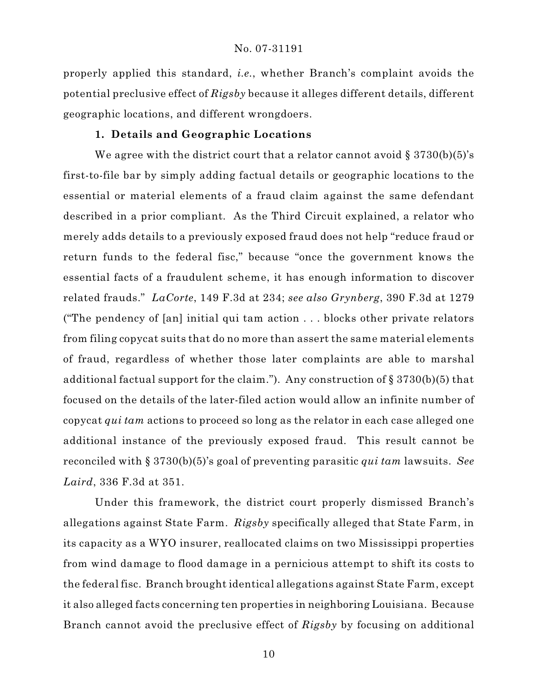properly applied this standard, *i.e.*, whether Branch's complaint avoids the potential preclusive effect of *Rigsby* because it alleges different details, different geographic locations, and different wrongdoers.

#### **1. Details and Geographic Locations**

We agree with the district court that a relator cannot avoid  $\S 3730(b)(5)'s$ first-to-file bar by simply adding factual details or geographic locations to the essential or material elements of a fraud claim against the same defendant described in a prior compliant. As the Third Circuit explained, a relator who merely adds details to a previously exposed fraud does not help "reduce fraud or return funds to the federal fisc," because "once the government knows the essential facts of a fraudulent scheme, it has enough information to discover related frauds." *LaCorte*, 149 F.3d at 234; *see also Grynberg*, 390 F.3d at 1279 ("The pendency of [an] initial qui tam action . . . blocks other private relators from filing copycat suits that do no more than assert the same material elements of fraud, regardless of whether those later complaints are able to marshal additional factual support for the claim."). Any construction of § 3730(b)(5) that focused on the details of the later-filed action would allow an infinite number of copycat *qui tam* actions to proceed so long as the relator in each case alleged one additional instance of the previously exposed fraud. This result cannot be reconciled with § 3730(b)(5)'s goal of preventing parasitic *qui tam* lawsuits. *See Laird*, 336 F.3d at 351.

Under this framework, the district court properly dismissed Branch's allegations against State Farm. *Rigsby* specifically alleged that State Farm, in its capacity as a WYO insurer, reallocated claims on two Mississippi properties from wind damage to flood damage in a pernicious attempt to shift its costs to the federal fisc. Branch brought identical allegations against State Farm, except it also alleged facts concerning ten properties in neighboring Louisiana. Because Branch cannot avoid the preclusive effect of *Rigsby* by focusing on additional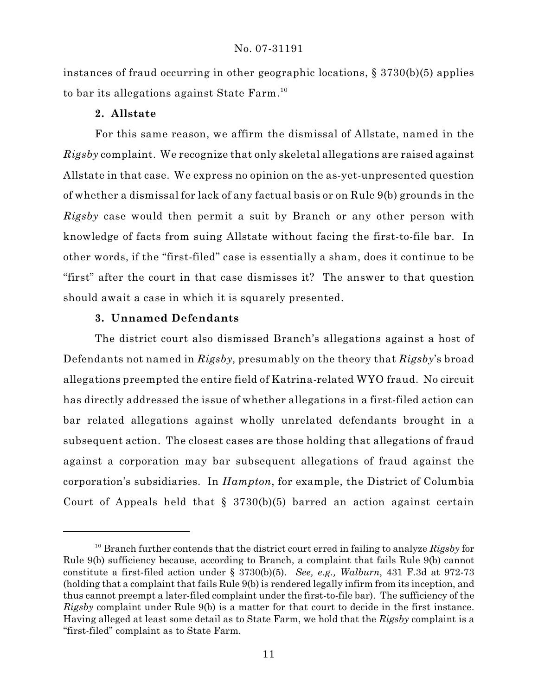instances of fraud occurring in other geographic locations, § 3730(b)(5) applies to bar its allegations against State Farm. 10

# **2. Allstate**

For this same reason, we affirm the dismissal of Allstate, named in the *Rigsby* complaint. We recognize that only skeletal allegations are raised against Allstate in that case. We express no opinion on the as-yet-unpresented question of whether a dismissal for lack of any factual basis or on Rule 9(b) grounds in the *Rigsby* case would then permit a suit by Branch or any other person with knowledge of facts from suing Allstate without facing the first-to-file bar. In other words, if the "first-filed" case is essentially a sham, does it continue to be "first" after the court in that case dismisses it? The answer to that question should await a case in which it is squarely presented.

## **3. Unnamed Defendants**

The district court also dismissed Branch's allegations against a host of Defendants not named in *Rigsby,* presumably on the theory that *Rigsby*'s broad allegations preempted the entire field of Katrina-related WYO fraud.No circuit has directly addressed the issue of whether allegations in a first-filed action can bar related allegations against wholly unrelated defendants brought in a subsequent action. The closest cases are those holding that allegations of fraud against a corporation may bar subsequent allegations of fraud against the corporation's subsidiaries. In *Hampton*, for example, the District of Columbia Court of Appeals held that  $\S$  3730(b)(5) barred an action against certain

<sup>&</sup>lt;sup>10</sup> Branch further contends that the district court erred in failing to analyze  $Rigsb{v}$  for Rule 9(b) sufficiency because, according to Branch, a complaint that fails Rule 9(b) cannot constitute a first-filed action under § 3730(b)(5). *See, e.g., Walburn*, 431 F.3d at 972-73 (holding that a complaint that fails Rule 9(b) is rendered legally infirm from its inception, and thus cannot preempt a later-filed complaint under the first-to-file bar). The sufficiency of the *Rigsby* complaint under Rule 9(b) is a matter for that court to decide in the first instance. Having alleged at least some detail as to State Farm, we hold that the *Rigsby* complaint is a "first-filed" complaint as to State Farm.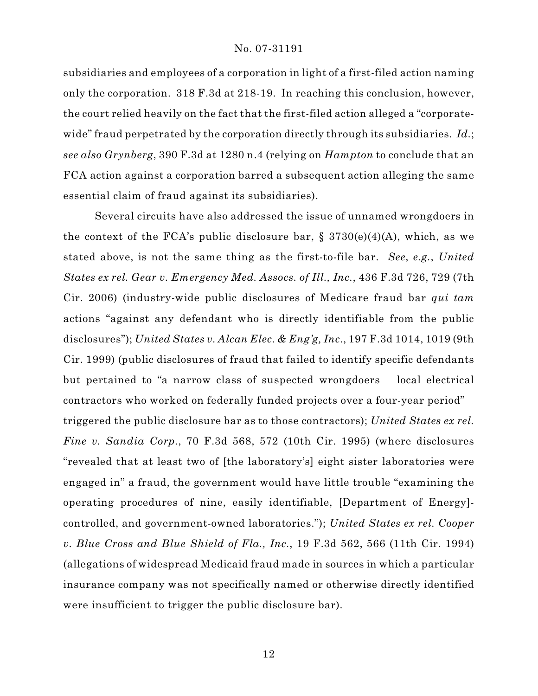subsidiaries and employees of a corporation in light of a first-filed action naming only the corporation. 318 F.3d at 218-19. In reaching this conclusion, however, the court relied heavily on the fact that the first-filed action alleged a "corporatewide" fraud perpetrated by the corporation directly through its subsidiaries. *Id.*; *see also Grynberg*, 390 F.3d at 1280 n.4 (relying on *Hampton* to conclude that an FCA action against a corporation barred a subsequent action alleging the same essential claim of fraud against its subsidiaries).

Several circuits have also addressed the issue of unnamed wrongdoers in the context of the FCA's public disclosure bar,  $\S$  3730(e)(4)(A), which, as we stated above, is not the same thing as the first-to-file bar. *See*, *e.g.*, *United States ex rel. Gear v. Emergency Med. Assocs. of Ill., Inc.*, 436 F.3d 726, 729 (7th Cir. 2006) (industry-wide public disclosures of Medicare fraud bar *qui tam* actions "against any defendant who is directly identifiable from the public disclosures"); *United States v. Alcan Elec. & Eng'g, Inc.*, 197 F.3d 1014, 1019 (9th Cir. 1999) (public disclosures of fraud that failed to identify specific defendants but pertained to "a narrow class of suspected wrongdoers local electrical contractors who worked on federally funded projects over a four-year period" triggered the public disclosure bar as to those contractors); *United States ex rel. Fine v. Sandia Corp.*, 70 F.3d 568, 572 (10th Cir. 1995) (where disclosures "revealed that at least two of [the laboratory's] eight sister laboratories were engaged in" a fraud, the government would have little trouble "examining the operating procedures of nine, easily identifiable, [Department of Energy] controlled, and government-owned laboratories."); *United States ex rel. Cooper v. Blue Cross and Blue Shield of Fla., Inc.*, 19 F.3d 562, 566 (11th Cir. 1994) (allegations of widespread Medicaid fraud made in sources in which a particular insurance company was not specifically named or otherwise directly identified were insufficient to trigger the public disclosure bar).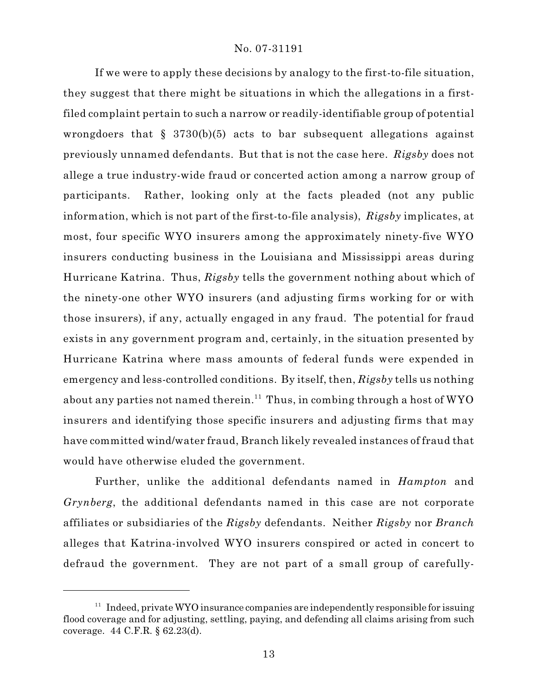If we were to apply these decisions by analogy to the first-to-file situation, they suggest that there might be situations in which the allegations in a firstfiled complaint pertain to such a narrow or readily-identifiable group of potential wrongdoers that § 3730(b)(5) acts to bar subsequent allegations against previously unnamed defendants. But that is not the case here. *Rigsby* does not allege a true industry-wide fraud or concerted action among a narrow group of participants. Rather, looking only at the facts pleaded (not any public information, which is not part of the first-to-file analysis), *Rigsby* implicates, at most, four specific WYO insurers among the approximately ninety-five WYO insurers conducting business in the Louisiana and Mississippi areas during Hurricane Katrina. Thus, *Rigsby* tells the government nothing about which of the ninety-one other WYO insurers (and adjusting firms working for or with those insurers), if any, actually engaged in any fraud. The potential for fraud exists in any government program and, certainly, in the situation presented by Hurricane Katrina where mass amounts of federal funds were expended in emergency and less-controlled conditions. By itself, then, *Rigsby* tells us nothing about any parties not named therein.<sup>11</sup> Thus, in combing through a host of  $WYO$ insurers and identifying those specific insurers and adjusting firms that may have committed wind/water fraud, Branch likely revealed instances of fraud that would have otherwise eluded the government.

Further, unlike the additional defendants named in *Hampton* and *Grynberg*, the additional defendants named in this case are not corporate affiliates or subsidiaries of the *Rigsby* defendants. Neither *Rigsby* nor *Branch* alleges that Katrina-involved WYO insurers conspired or acted in concert to defraud the government. They are not part of a small group of carefully-

 $11$  Indeed, private WYO insurance companies are independently responsible for issuing flood coverage and for adjusting, settling, paying, and defending all claims arising from such coverage. 44 C.F.R. § 62.23(d).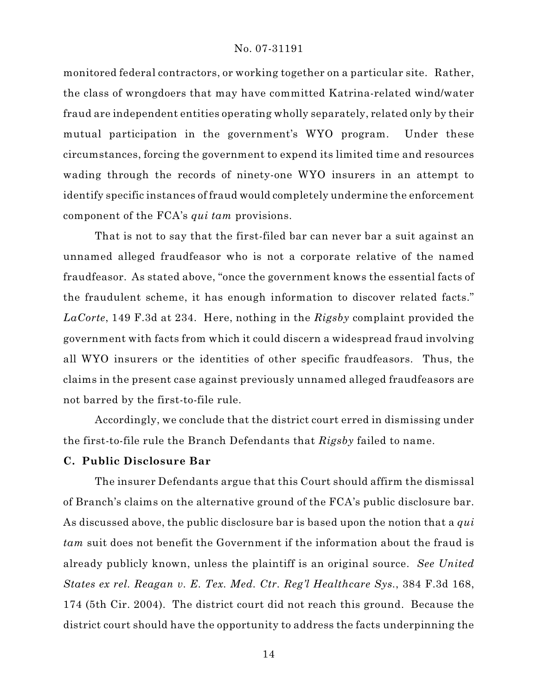monitored federal contractors, or working together on a particular site. Rather, the class of wrongdoers that may have committed Katrina-related wind/water fraud are independent entities operating wholly separately, related only by their mutual participation in the government's WYO program. Under these circumstances, forcing the government to expend its limited time and resources wading through the records of ninety-one WYO insurers in an attempt to identify specific instances of fraud would completely undermine the enforcement component of the FCA's *qui tam* provisions.

That is not to say that the first-filed bar can never bar a suit against an unnamed alleged fraudfeasor who is not a corporate relative of the named fraudfeasor. As stated above, "once the government knows the essential facts of the fraudulent scheme, it has enough information to discover related facts." *LaCorte*, 149 F.3d at 234. Here, nothing in the *Rigsby* complaint provided the government with facts from which it could discern a widespread fraud involving all WYO insurers or the identities of other specific fraudfeasors. Thus, the claims in the present case against previously unnamed alleged fraudfeasors are not barred by the first-to-file rule.

Accordingly, we conclude that the district court erred in dismissing under the first-to-file rule the Branch Defendants that *Rigsby* failed to name.

## **C. Public Disclosure Bar**

The insurer Defendants argue that this Court should affirm the dismissal of Branch's claims on the alternative ground of the FCA's public disclosure bar. As discussed above, the public disclosure bar is based upon the notion that a *qui tam* suit does not benefit the Government if the information about the fraud is already publicly known, unless the plaintiff is an original source. *See United States ex rel. Reagan v. E. Tex. Med. Ctr. Reg'l Healthcare Sys.*, 384 F.3d 168, 174 (5th Cir. 2004). The district court did not reach this ground. Because the district court should have the opportunity to address the facts underpinning the